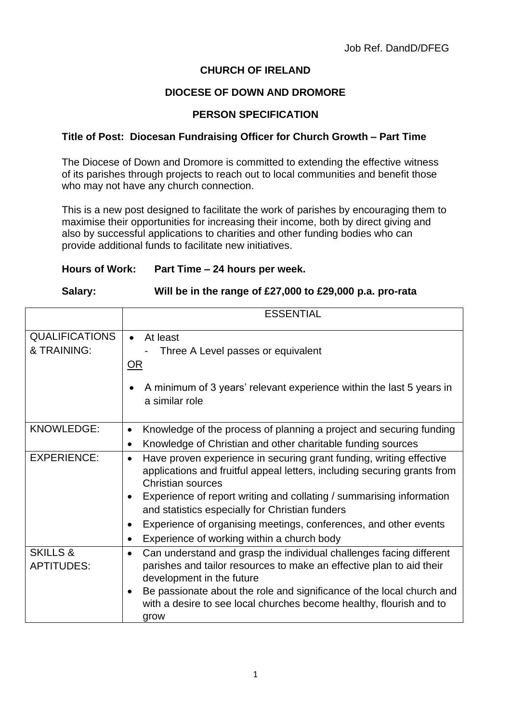# **CHURCH OF IRELAND**

# **DIOCESE OF DOWN AND DROMORE**

## **PERSON SPECIFICATION**

### **Title of Post: Diocesan Fundraising Officer for Church Growth – Part Time**

The Diocese of Down and Dromore is committed to extending the effective witness of its parishes through projects to reach out to local communities and benefit those who may not have any church connection.

This is a new post designed to facilitate the work of parishes by encouraging them to maximise their opportunities for increasing their income, both by direct giving and also by successful applications to charities and other funding bodies who can provide additional funds to facilitate new initiatives.

#### **Hours of Work: Part Time – 24 hours per week.**

#### **Salary: Will be in the range of £27,000 to £29,000 p.a. pro-rata**

|                                          | <b>ESSENTIAL</b>                                                                                                                                                                                                                                                                                                                                                                                                                            |
|------------------------------------------|---------------------------------------------------------------------------------------------------------------------------------------------------------------------------------------------------------------------------------------------------------------------------------------------------------------------------------------------------------------------------------------------------------------------------------------------|
| <b>QUALIFICATIONS</b><br>& TRAINING:     | At least<br>$\bullet$<br>Three A Level passes or equivalent<br>OR                                                                                                                                                                                                                                                                                                                                                                           |
|                                          | A minimum of 3 years' relevant experience within the last 5 years in<br>a similar role                                                                                                                                                                                                                                                                                                                                                      |
| <b>KNOWLEDGE:</b>                        | Knowledge of the process of planning a project and securing funding<br>$\bullet$<br>Knowledge of Christian and other charitable funding sources<br>$\bullet$                                                                                                                                                                                                                                                                                |
| <b>EXPERIENCE:</b>                       | Have proven experience in securing grant funding, writing effective<br>$\bullet$<br>applications and fruitful appeal letters, including securing grants from<br>Christian sources<br>Experience of report writing and collating / summarising information<br>$\bullet$<br>and statistics especially for Christian funders<br>Experience of organising meetings, conferences, and other events<br>Experience of working within a church body |
| <b>SKILLS &amp;</b><br><b>APTITUDES:</b> | Can understand and grasp the individual challenges facing different<br>$\bullet$<br>parishes and tailor resources to make an effective plan to aid their<br>development in the future<br>Be passionate about the role and significance of the local church and<br>$\bullet$<br>with a desire to see local churches become healthy, flourish and to<br>grow                                                                                  |